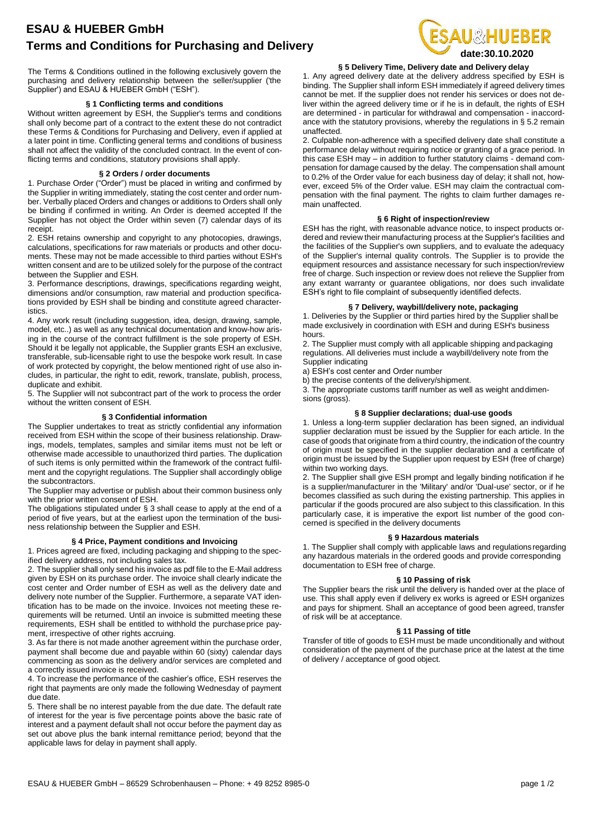# **ESAU & HUEBER GmbH Terms and Conditions for Purchasing and Delivery**

The Terms & Conditions outlined in the following exclusively govern the purchasing and delivery relationship between the seller/supplier ('the Supplier') and ESAU & HUEBER GmbH ("ESH").

### **§ 1 Conflicting terms and conditions**

Without written agreement by ESH, the Supplier's terms and conditions shall only become part of a contract to the extent these do not contradict these Terms & Conditions for Purchasing and Delivery, even if applied at a later point in time. Conflicting general terms and conditions of business shall not affect the validity of the concluded contract. In the event of conflicting terms and conditions, statutory provisions shall apply.

## **§ 2 Orders / order documents**

1. Purchase Order ("Order") must be placed in writing and confirmed by the Supplier in writing immediately, stating the cost center and order number. Verbally placed Orders and changes or additions to Orders shall only be binding if confirmed in writing. An Order is deemed accepted If the Supplier has not object the Order within seven (7) calendar days of its receipt.

2. ESH retains ownership and copyright to any photocopies, drawings, calculations, specifications for raw materials or products and other documents. These may not be made accessible to third parties without ESH's written consent and are to be utilized solely for the purpose of the contract between the Supplier and ESH.

3. Performance descriptions, drawings, specifications regarding weight, dimensions and/or consumption, raw material and production specifications provided by ESH shall be binding and constitute agreed characteristics.

4. Any work result (including suggestion, idea, design, drawing, sample, model, etc..) as well as any technical documentation and know-how arising in the course of the contract fulfillment is the sole property of ESH. Should it be legally not applicable, the Supplier grants ESH an exclusive, transferable, sub-licensable right to use the bespoke work result. In case of work protected by copyright, the below mentioned right of use also includes, in particular, the right to edit, rework, translate, publish, process, duplicate and exhibit.

5. The Supplier will not subcontract part of the work to process the order without the written consent of ESH.

## **§ 3 Confidential information**

The Supplier undertakes to treat as strictly confidential any information received from ESH within the scope of their business relationship. Drawings, models, templates, samples and similar items must not be left or otherwise made accessible to unauthorized third parties. The duplication of such items is only permitted within the framework of the contract fulfilment and the copyright regulations. The Supplier shall accordingly oblige the subcontractors.

The Supplier may advertise or publish about their common business only with the prior written consent of ESH.

The obligations stipulated under § 3 shall cease to apply at the end of a period of five years, but at the earliest upon the termination of the business relationship between the Supplier and ESH.

## **§ 4 Price, Payment conditions and Invoicing**

1. Prices agreed are fixed, including packaging and shipping to the specified delivery address, not including sales tax.

2. The supplier shall only send his invoice as pdf file to the E-Mail address given by ESH on its purchase order. The invoice shall clearly indicate the cost center and Order number of ESH as well as the delivery date and delivery note number of the Supplier. Furthermore, a separate VAT identification has to be made on the invoice. Invoices not meeting these requirements will be returned. Until an invoice is submitted meeting these requirements, ESH shall be entitled to withhold the purchaseprice payment, irrespective of other rights accruing.

3. As far there is not made another agreement within the purchase order, payment shall become due and payable within 60 (sixty) calendar days commencing as soon as the delivery and/or services are completed and a correctly issued invoice is received.

4. To increase the performance of the cashier's office, ESH reserves the right that payments are only made the following Wednesday of payment due date.

5. There shall be no interest payable from the due date. The default rate of interest for the year is five percentage points above the basic rate of interest and a payment default shall not occur before the payment day as set out above plus the bank internal remittance period; beyond that the applicable laws for delay in payment shall apply.



## **§ 5 Delivery Time, Delivery date and Delivery delay**

1. Any agreed delivery date at the delivery address specified by ESH is binding. The Supplier shall inform ESH immediately if agreed delivery times cannot be met. If the supplier does not render his services or does not deliver within the agreed delivery time or if he is in default, the rights of ESH are determined - in particular for withdrawal and compensation - inaccordance with the statutory provisions, whereby the regulations in § 5.2 remain unaffected.

2. Culpable non-adherence with a specified delivery date shall constitute a performance delay without requiring notice or granting of a grace period. In this case ESH may – in addition to further statutory claims - demand compensation for damage caused by the delay. The compensation shall amount to 0.2% of the Order value for each business day of delay; it shall not, however, exceed 5% of the Order value. ESH may claim the contractual compensation with the final payment. The rights to claim further damages remain unaffected.

## **§ 6 Right of inspection/review**

ESH has the right, with reasonable advance notice, to inspect products ordered and review their manufacturing process at the Supplier's facilities and the facilities of the Supplier's own suppliers, and to evaluate the adequacy of the Supplier's internal quality controls. The Supplier is to provide the equipment resources and assistance necessary for such inspection/review free of charge. Such inspection or review does not relieve the Supplier from any extant warranty or guarantee obligations, nor does such invalidate ESH's right to file complaint of subsequently identified defects.

## **§ 7 Delivery, waybill/delivery note, packaging**

1. Deliveries by the Supplier or third parties hired by the Supplier shallbe made exclusively in coordination with ESH and during ESH's business hours.

2. The Supplier must comply with all applicable shipping andpackaging regulations. All deliveries must include a waybill/delivery note from the Supplier indicating

a) ESH's cost center and Order number

b) the precise contents of the delivery/shipment.

3. The appropriate customs tariff number as well as weight anddimensions (gross).

## **§ 8 Supplier declarations; dual-use goods**

1. Unless a long-term supplier declaration has been signed, an individual supplier declaration must be issued by the Supplier for each article. In the case of goods that originate from a third country, the indication of the country of origin must be specified in the supplier declaration and a certificate of origin must be issued by the Supplier upon request by ESH (free of charge) within two working days.

2. The Supplier shall give ESH prompt and legally binding notification if he is a supplier/manufacturer in the 'Military' and/or 'Dual-use' sector, or if he becomes classified as such during the existing partnership. This applies in particular if the goods procured are also subject to this classification. In this particularly case, it is imperative the export list number of the good concerned is specified in the delivery documents

### **§ 9 Hazardous materials**

1. The Supplier shall comply with applicable laws and regulations regarding any hazardous materials in the ordered goods and provide corresponding documentation to ESH free of charge.

### **§ 10 Passing of risk**

The Supplier bears the risk until the delivery is handed over at the place of use. This shall apply even if delivery ex works is agreed or ESH organizes and pays for shipment. Shall an acceptance of good been agreed, transfer of risk will be at acceptance.

#### **§ 11 Passing of title**

Transfer of title of goods to ESH must be made unconditionally and without consideration of the payment of the purchase price at the latest at the time of delivery / acceptance of good object.